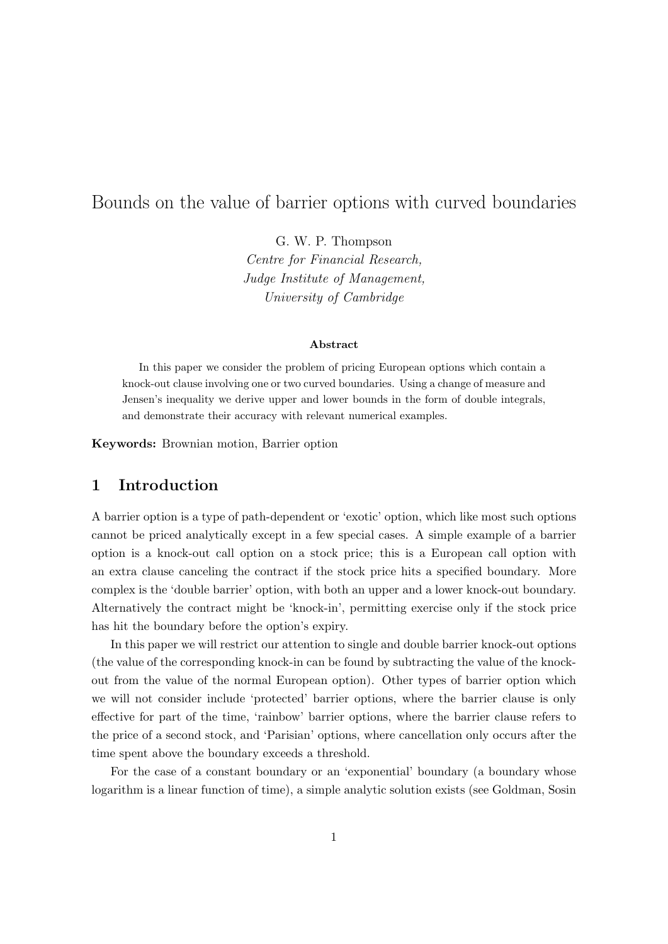# Bounds on the value of barrier options with curved boundaries

G. W. P. Thompson Centre for Financial Research, Judge Institute of Management, University of Cambridge

#### Abstract

In this paper we consider the problem of pricing European options which contain a knock-out clause involving one or two curved boundaries. Using a change of measure and Jensen's inequality we derive upper and lower bounds in the form of double integrals, and demonstrate their accuracy with relevant numerical examples.

Keywords: Brownian motion, Barrier option

## 1 Introduction

A barrier option is a type of path-dependent or 'exotic' option, which like most such options cannot be priced analytically except in a few special cases. A simple example of a barrier option is a knock-out call option on a stock price; this is a European call option with an extra clause canceling the contract if the stock price hits a specified boundary. More complex is the 'double barrier' option, with both an upper and a lower knock-out boundary. Alternatively the contract might be 'knock-in', permitting exercise only if the stock price has hit the boundary before the option's expiry.

In this paper we will restrict our attention to single and double barrier knock-out options (the value of the corresponding knock-in can be found by subtracting the value of the knockout from the value of the normal European option). Other types of barrier option which we will not consider include 'protected' barrier options, where the barrier clause is only effective for part of the time, 'rainbow' barrier options, where the barrier clause refers to the price of a second stock, and 'Parisian' options, where cancellation only occurs after the time spent above the boundary exceeds a threshold.

For the case of a constant boundary or an 'exponential' boundary (a boundary whose logarithm is a linear function of time), a simple analytic solution exists (see Goldman, Sosin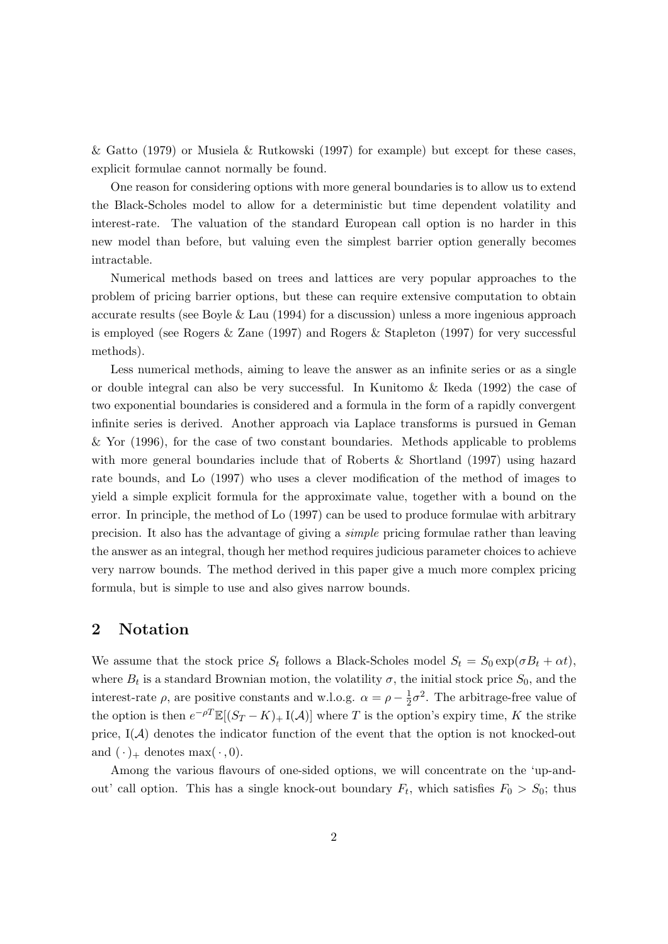& Gatto (1979) or Musiela & Rutkowski (1997) for example) but except for these cases, explicit formulae cannot normally be found.

One reason for considering options with more general boundaries is to allow us to extend the Black-Scholes model to allow for a deterministic but time dependent volatility and interest-rate. The valuation of the standard European call option is no harder in this new model than before, but valuing even the simplest barrier option generally becomes intractable.

Numerical methods based on trees and lattices are very popular approaches to the problem of pricing barrier options, but these can require extensive computation to obtain accurate results (see Boyle & Lau (1994) for a discussion) unless a more ingenious approach is employed (see Rogers & Zane (1997) and Rogers & Stapleton (1997) for very successful methods).

Less numerical methods, aiming to leave the answer as an infinite series or as a single or double integral can also be very successful. In Kunitomo & Ikeda (1992) the case of two exponential boundaries is considered and a formula in the form of a rapidly convergent infinite series is derived. Another approach via Laplace transforms is pursued in Geman & Yor (1996), for the case of two constant boundaries. Methods applicable to problems with more general boundaries include that of Roberts & Shortland (1997) using hazard rate bounds, and Lo (1997) who uses a clever modification of the method of images to yield a simple explicit formula for the approximate value, together with a bound on the error. In principle, the method of Lo (1997) can be used to produce formulae with arbitrary precision. It also has the advantage of giving a simple pricing formulae rather than leaving the answer as an integral, though her method requires judicious parameter choices to achieve very narrow bounds. The method derived in this paper give a much more complex pricing formula, but is simple to use and also gives narrow bounds.

### 2 Notation

We assume that the stock price  $S_t$  follows a Black-Scholes model  $S_t = S_0 \exp(\sigma B_t + \alpha t)$ , where  $B_t$  is a standard Brownian motion, the volatility  $\sigma$ , the initial stock price  $S_0$ , and the interest-rate  $\rho$ , are positive constants and w.l.o.g.  $\alpha = \rho - \frac{1}{2}$  $\frac{1}{2}\sigma^2$ . The arbitrage-free value of the option is then  $e^{-\rho T}\mathbb{E}[(S_T - K)_+ \mathbb{I}(\mathcal{A})]$  where T is the option's expiry time, K the strike price,  $I(A)$  denotes the indicator function of the event that the option is not knocked-out and  $(\cdot)_+$  denotes max $(\cdot, 0)$ .

Among the various flavours of one-sided options, we will concentrate on the 'up-andout' call option. This has a single knock-out boundary  $F_t$ , which satisfies  $F_0 > S_0$ ; thus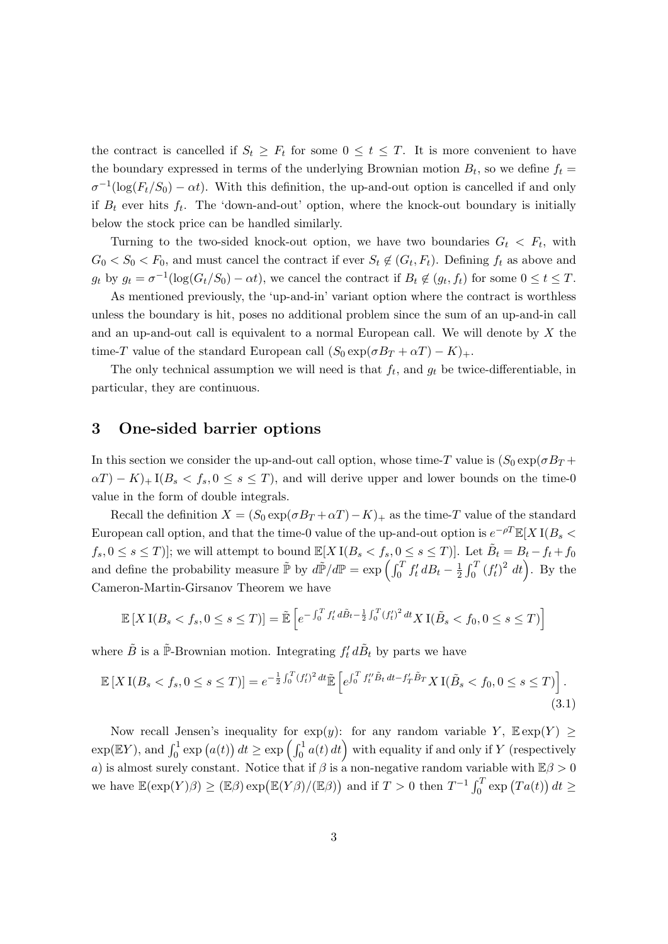the contract is cancelled if  $S_t \geq F_t$  for some  $0 \leq t \leq T$ . It is more convenient to have the boundary expressed in terms of the underlying Brownian motion  $B_t$ , so we define  $f_t =$  $\sigma^{-1}(\log(F_t/S_0) - \alpha t)$ . With this definition, the up-and-out option is cancelled if and only if  $B_t$  ever hits  $f_t$ . The 'down-and-out' option, where the knock-out boundary is initially below the stock price can be handled similarly.

Turning to the two-sided knock-out option, we have two boundaries  $G_t < F_t$ , with  $G_0 < S_0 < F_0$ , and must cancel the contract if ever  $S_t \notin (G_t, F_t)$ . Defining  $f_t$  as above and  $g_t$  by  $g_t = \sigma^{-1}(\log(G_t/S_0) - \alpha t)$ , we cancel the contract if  $B_t \notin (g_t, f_t)$  for some  $0 \le t \le T$ .

As mentioned previously, the 'up-and-in' variant option where the contract is worthless unless the boundary is hit, poses no additional problem since the sum of an up-and-in call and an up-and-out call is equivalent to a normal European call. We will denote by X the time-T value of the standard European call  $(S_0 \exp(\sigma B_T + \alpha T) - K)_+$ .

The only technical assumption we will need is that  $f_t$ , and  $g_t$  be twice-differentiable, in particular, they are continuous.

### 3 One-sided barrier options

In this section we consider the up-and-out call option, whose time-T value is  $(S_0 \exp(\sigma B_T +$  $\alpha(T) - K$ <sub>+</sub> I( $B_s < f_s$ ,  $0 \le s \le T$ ), and will derive upper and lower bounds on the time-0 value in the form of double integrals.

Recall the definition  $X = (S_0 \exp(\sigma B_T + \alpha T) - K)_+$  as the time-T value of the standard European call option, and that the time-0 value of the up-and-out option is  $e^{-\rho T}\mathbb{E}[X]$  I( $B_s$  <  $f_s, 0 \le s \le T$ ]; we will attempt to bound  $\mathbb{E}[X \, I(B_s < f_s, 0 \le s \le T)]$ . Let  $\tilde{B}_t = B_t - f_t + f_0$ and define the probability measure  $\tilde{P}$  by  $d\tilde{P}/dP = \exp\left(\int_0^T f'_t dB_t - \frac{1}{2}\right)$  $\frac{1}{2} \int_0^T (f'_t)$  $(t')^2 dt$ . By the Cameron-Martin-Girsanov Theorem we have

$$
\mathbb{E}\left[X\,\mathrm{I}(B_s < f_s, 0 \le s \le T)\right] = \tilde{\mathbb{E}}\left[e^{-\int_0^T f'_t \, d\tilde{B}_t - \frac{1}{2} \int_0^T (f'_t)^2 \, dt} X \,\mathrm{I}(\tilde{B}_s < f_0, 0 \le s \le T)\right]
$$

where  $\tilde{B}$  is a  $\tilde{\mathbb{P}}$ -Brownian motion. Integrating  $f'_t d\tilde{B}_t$  by parts we have

$$
\mathbb{E}\left[X\,\mathrm{I}(B_s < f_s, 0 \le s \le T)\right] = e^{-\frac{1}{2}\int_0^T (f'_t)^2 \, dt} \tilde{\mathbb{E}}\left[e^{\int_0^T f''_t \tilde{B}_t \, dt - f'_T \tilde{B}_T} X\,\mathrm{I}(\tilde{B}_s < f_0, 0 \le s \le T)\right].\tag{3.1}
$$

Now recall Jensen's inequality for  $exp(y)$ : for any random variable Y,  $E exp(Y) \ge$  $\exp(\mathbb{E}Y)$ , and  $\int_0^1 \exp(a(t)) dt \geq \exp\left(\int_0^1 a(t) dt\right)$  with equality if and only if Y (respectively a) is almost surely constant. Notice that if  $\beta$  is a non-negative random variable with  $\mathbb{E}\beta > 0$ we have  $\mathbb{E}(\exp(Y)\beta) \ge (\mathbb{E}\beta) \exp(\mathbb{E}(Y\beta)/(\mathbb{E}\beta))$  and if  $T > 0$  then  $T^{-1} \int_0^T \exp(Ta(t)) dt \ge$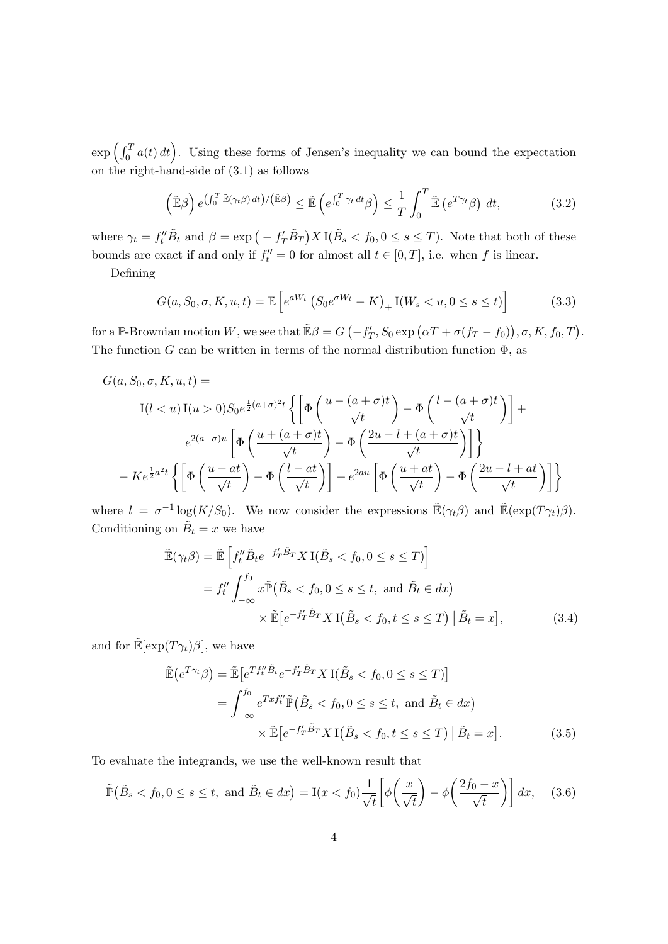$\exp\left(\int_0^T a(t) dt\right)$ . Using these forms of Jensen's inequality we can bound the expectation on the right-hand-side of (3.1) as follows

$$
\left(\tilde{\mathbb{E}}\beta\right)e^{\left(\int_0^T \tilde{\mathbb{E}}(\gamma_t \beta) dt\right)/\left(\tilde{\mathbb{E}}\beta\right)} \leq \tilde{\mathbb{E}}\left(e^{\int_0^T \gamma_t dt} \beta\right) \leq \frac{1}{T} \int_0^T \tilde{\mathbb{E}}\left(e^{T\gamma_t} \beta\right) dt,
$$
\n(3.2)

where  $\gamma_t = f''_t \tilde{B}_t$  and  $\beta = \exp(-f'_T \tilde{B}_T) X I(\tilde{B}_s < f_0, 0 \le s \le T)$ . Note that both of these bounds are exact if and only if  $f''_t = 0$  for almost all  $t \in [0, T]$ , i.e. when f is linear.

Defining

$$
G(a, S_0, \sigma, K, u, t) = \mathbb{E}\left[e^{aW_t} \left(S_0 e^{\sigma W_t} - K\right)_+ \mathcal{I}(W_s < u, 0 \le s \le t)\right] \tag{3.3}
$$

for a P-Brownian motion W, we see that  $\mathbb{E}\beta = G(-f_p)$  $T_T$ ,  $S_0 \exp(\alpha T + \sigma(f_T - f_0)), \sigma, K, f_0, T$ . The function G can be written in terms of the normal distribution function  $\Phi$ , as

$$
G(a, S_0, \sigma, K, u, t) =
$$
  
\n
$$
I(l < u) I(u > 0) S_0 e^{\frac{1}{2}(a+\sigma)^2 t} \left\{ \left[ \Phi\left(\frac{u - (a+\sigma)t}{\sqrt{t}}\right) - \Phi\left(\frac{l - (a+\sigma)t}{\sqrt{t}}\right) \right] +
$$
  
\n
$$
e^{2(a+\sigma)u} \left[ \Phi\left(\frac{u + (a+\sigma)t}{\sqrt{t}}\right) - \Phi\left(\frac{2u - l + (a+\sigma)t}{\sqrt{t}}\right) \right] \right\}
$$
  
\n
$$
-Ke^{\frac{1}{2}a^2t} \left\{ \left[ \Phi\left(\frac{u - at}{\sqrt{t}}\right) - \Phi\left(\frac{l - at}{\sqrt{t}}\right) \right] + e^{2au} \left[ \Phi\left(\frac{u + at}{\sqrt{t}}\right) - \Phi\left(\frac{2u - l + at}{\sqrt{t}}\right) \right] \right\}
$$

where  $l = \sigma^{-1} \log(K/S_0)$ . We now consider the expressions  $\mathbb{E}(\gamma_t, \beta)$  and  $\mathbb{E}(\exp(T\gamma_t), \beta)$ . Conditioning on  $\tilde{B}_t = x$  we have

$$
\tilde{\mathbb{E}}(\gamma_t \beta) = \tilde{\mathbb{E}} \left[ f_t'' \tilde{B}_t e^{-f_T' \tilde{B}_T} X \mathbb{I}(\tilde{B}_s < f_0, 0 \le s \le T) \right]
$$
\n
$$
= f_t'' \int_{-\infty}^{f_0} x \tilde{\mathbb{P}}(\tilde{B}_s < f_0, 0 \le s \le t, \text{ and } \tilde{B}_t \in dx)
$$
\n
$$
\times \tilde{\mathbb{E}} \left[ e^{-f_T' \tilde{B}_T} X \mathbb{I}(\tilde{B}_s < f_0, t \le s \le T) \middle| \tilde{B}_t = x \right], \tag{3.4}
$$

and for  $\mathbb{E}[\exp(T\gamma_t)\beta]$ , we have

$$
\tilde{\mathbb{E}}(e^{T\gamma_t}\beta) = \tilde{\mathbb{E}}\left[e^{Tf_t^{\prime\prime}\tilde{B}_t}e^{-f_T^{\prime}\tilde{B}_T}X\mathbb{I}(\tilde{B}_s < f_0, 0 \le s \le T)\right]
$$
\n
$$
= \int_{-\infty}^{f_0} e^{Txf_t^{\prime\prime}}\tilde{\mathbb{P}}(\tilde{B}_s < f_0, 0 \le s \le t, \text{ and } \tilde{B}_t \in dx)
$$
\n
$$
\times \tilde{\mathbb{E}}\left[e^{-f_T^{\prime}\tilde{B}_T}X\mathbb{I}(\tilde{B}_s < f_0, t \le s \le T)\middle|\tilde{B}_t = x\right]. \tag{3.5}
$$

To evaluate the integrands, we use the well-known result that

$$
\tilde{\mathbb{P}}\left(\tilde{B}_s < f_0, 0 \le s \le t, \text{ and } \tilde{B}_t \in dx\right) = \mathbb{I}(x < f_0) \frac{1}{\sqrt{t}} \left[\phi\left(\frac{x}{\sqrt{t}}\right) - \phi\left(\frac{2f_0 - x}{\sqrt{t}}\right)\right] dx, \quad (3.6)
$$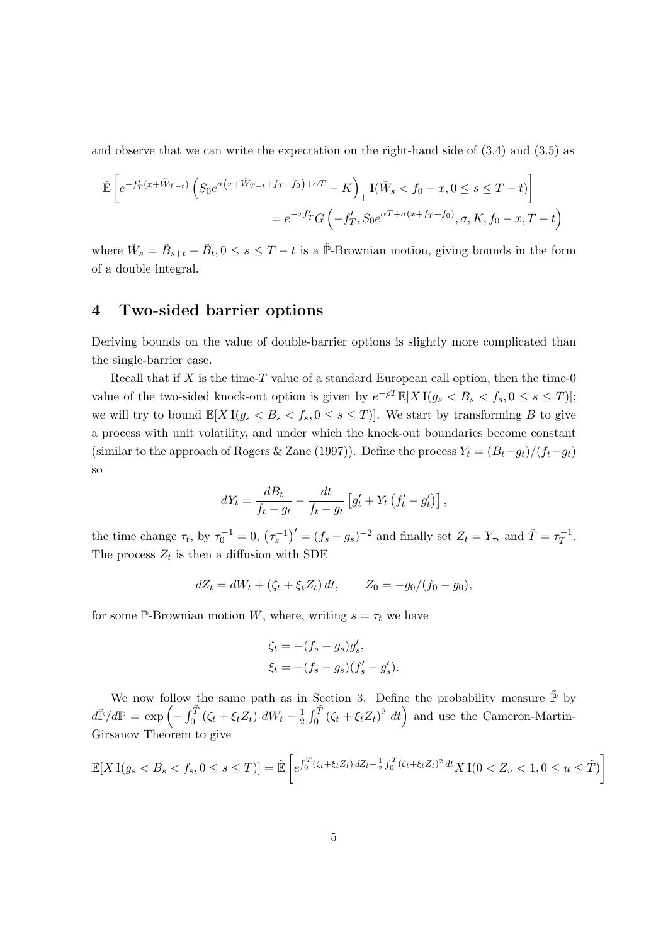and observe that we can write the expectation on the right-hand side of (3.4) and (3.5) as

$$
\tilde{\mathbb{E}}\left[e^{-f'_T(x+\tilde{W}_{T-t})}\left(S_0e^{\sigma\left(x+\tilde{W}_{T-t}+f_T-f_0\right)+\alpha T}-K\right)_+\mathcal{I}(\tilde{W}_s\n
$$
=e^{-xf'_T}G\left(-f'_T,S_0e^{\alpha T+\sigma\left(x+f_T-f_0\right)},\sigma,K,f_0-x,T-t\right)
$$
$$

where  $\tilde{W}_s = \tilde{B}_{s+t} - \tilde{B}_t$ ,  $0 \le s \le T-t$  is a  $\tilde{\mathbb{P}}$ -Brownian motion, giving bounds in the form of a double integral.

### 4 Two-sided barrier options

Deriving bounds on the value of double-barrier options is slightly more complicated than the single-barrier case.

Recall that if  $X$  is the time- $T$  value of a standard European call option, then the time-0 value of the two-sided knock-out option is given by  $e^{-\rho T}\mathbb{E}[X I(g_s < B_s < f_s, 0 \le s \le T)];$ we will try to bound  $\mathbb{E}[X \, I(g_s < B_s < f_s, 0 \leq s \leq T)].$  We start by transforming B to give a process with unit volatility, and under which the knock-out boundaries become constant (similar to the approach of Rogers & Zane (1997)). Define the process  $Y_t = (B_t - g_t)/(f_t - g_t)$ so

$$
dY_t = \frac{dB_t}{f_t - g_t} - \frac{dt}{f_t - g_t} \left[ g'_t + Y_t \left( f'_t - g'_t \right) \right],
$$

the time change  $\tau_t$ , by  $\tau_0^{-1} = 0$ ,  $(\tau_s^{-1})' = (f_s - g_s)^{-2}$  and finally set  $Z_t = Y_{\tau_t}$  and  $\tilde{T} = \tau_T^{-1}$  $T^{-1}$ . The process  $Z_t$  is then a diffusion with SDE

$$
dZ_t = dW_t + (\zeta_t + \xi_t Z_t) dt, \qquad Z_0 = -g_0/(f_0 - g_0),
$$

for some P-Brownian motion W, where, writing  $s = \tau_t$  we have

$$
\begin{aligned} \zeta_t &= -(f_s - g_s)g'_s, \\ \xi_t &= -(f_s - g_s)(f'_s - g'_s). \end{aligned}
$$

We now follow the same path as in Section 3. Define the probability measure  $\tilde{\mathbb{P}}$  by  $d\widetilde{\mathbb{P}}/d\mathbb{P} = \exp\left(-\int_0^{\widetilde{T}}\left(\zeta_t + \xi_t Z_t\right) dW_t - \frac{1}{2}\right)$  $\frac{1}{2} \int_0^{\tilde{T}} (\zeta_t + \xi_t Z_t)^2 dt$  and use the Cameron-Martin-Girsanov Theorem to give

$$
\mathbb{E}[X \, I(g_s < B_s < f_s, 0 \le s \le T)] = \tilde{\mathbb{E}}\left[e^{\int_0^{\tilde{T}} (\zeta_t + \xi_t Z_t) \, dZ_t - \frac{1}{2} \int_0^{\tilde{T}} (\zeta_t + \xi_t Z_t)^2 \, dt} X \, I(0 < Z_u < 1, 0 \le u \le \tilde{T})\right]
$$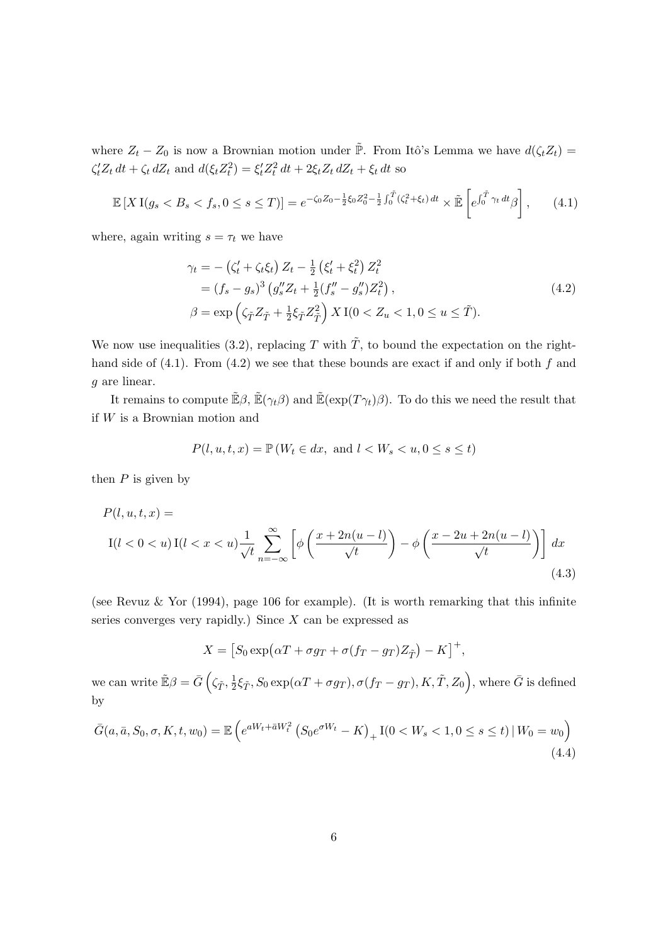where  $Z_t - Z_0$  is now a Brownian motion under  $\tilde{\mathbb{P}}$ . From Itô's Lemma we have  $d(\zeta_t Z_t) =$  $\zeta'_t Z_t dt + \zeta_t dZ_t$  and  $d(\xi_t Z_t^2) = \xi'_t Z_t^2 dt + 2\xi_t Z_t dZ_t + \xi_t dt$  so

$$
\mathbb{E}\left[X\,\mathrm{I}(g_s < B_s < f_s, 0 \le s \le T)\right] = e^{-\zeta_0 Z_0 - \frac{1}{2}\zeta_0 Z_0^2 - \frac{1}{2}\int_0^{\tilde{T}} (\zeta_t^2 + \xi_t) \, dt} \times \tilde{\mathbb{E}}\left[e^{\int_0^{\tilde{T}} \gamma_t \, dt} \beta\right],\tag{4.1}
$$

where, again writing  $s = \tau_t$  we have

$$
\gamma_t = -(\zeta_t' + \zeta_t \xi_t) Z_t - \frac{1}{2} (\xi_t' + \xi_t^2) Z_t^2 \n= (f_s - g_s)^3 (g_s'' Z_t + \frac{1}{2} (f_s'' - g_s'') Z_t^2), \n\beta = \exp\left(\zeta_{\tilde{T}} Z_{\tilde{T}} + \frac{1}{2} \xi_{\tilde{T}} Z_{\tilde{T}}^2\right) X I(0 < Z_u < 1, 0 \le u \le \tilde{T}).
$$
\n(4.2)

We now use inequalities (3.2), replacing T with  $\tilde{T}$ , to bound the expectation on the righthand side of  $(4.1)$ . From  $(4.2)$  we see that these bounds are exact if and only if both f and g are linear.

It remains to compute  $\tilde{\mathbb{E}}\beta$ ,  $\tilde{\mathbb{E}}(\gamma_t\beta)$  and  $\tilde{\mathbb{E}}(\exp(T\gamma_t)\beta)$ . To do this we need the result that if W is a Brownian motion and

$$
P(l, u, t, x) = \mathbb{P}(W_t \in dx, \text{ and } l < W_s < u, 0 \le s \le t)
$$

then  $P$  is given by

$$
P(l, u, t, x) =
$$
  
\n
$$
I(l < 0 < u) I(l < x < u) \frac{1}{\sqrt{t}} \sum_{n = -\infty}^{\infty} \left[ \phi \left( \frac{x + 2n(u - l)}{\sqrt{t}} \right) - \phi \left( \frac{x - 2u + 2n(u - l)}{\sqrt{t}} \right) \right] dx
$$
\n
$$
(4.3)
$$

(see Revuz & Yor (1994), page 106 for example). (It is worth remarking that this infinite series converges very rapidly.) Since  $X$  can be expressed as

$$
X = [S_0 \exp(\alpha T + \sigma g_T + \sigma (f_T - g_T) Z_{\tilde{T}}) - K]^+,
$$

we can write  $\mathbb{E}\beta = \bar{G} \left( \zeta_{\tilde{T}}, \frac{1}{2} \right)$  $\frac{1}{2}\xi_{\tilde{T}}, S_0 \exp(\alpha T + \sigma g_T), \sigma(f_T - g_T), K, \tilde{T}, Z_0\Big),$  where  $\bar{G}$  is defined by

$$
\bar{G}(a, \bar{a}, S_0, \sigma, K, t, w_0) = \mathbb{E}\left(e^{aW_t + \bar{a}W_t^2} \left(S_0 e^{\sigma W_t} - K\right)_+ \mathcal{I}(0 < W_s < 1, 0 \le s \le t) \,|\, W_0 = w_0\right) \tag{4.4}
$$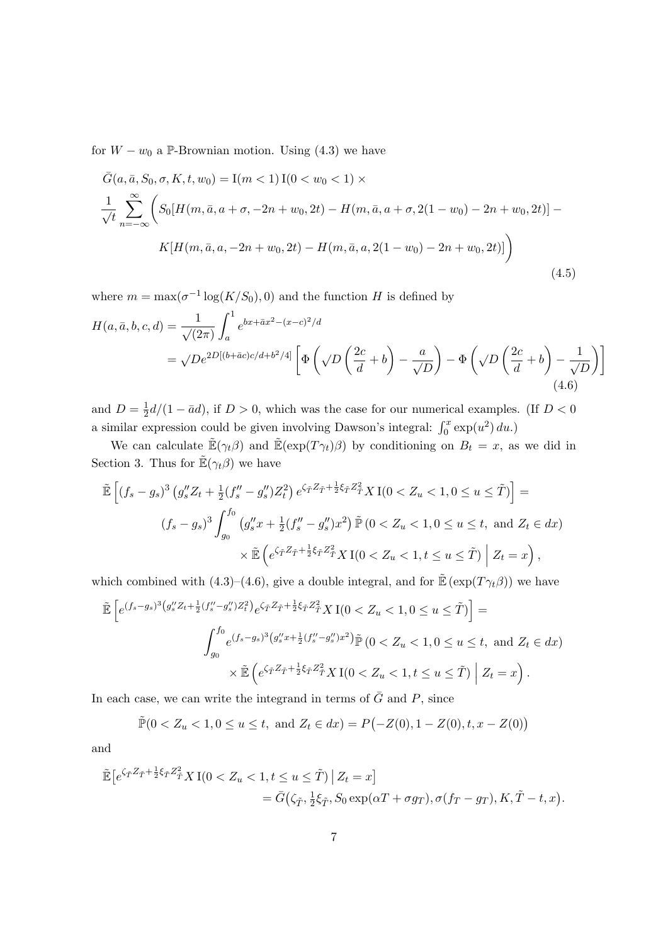for  $W - w_0$  a P-Brownian motion. Using (4.3) we have

$$
\bar{G}(a, \bar{a}, S_0, \sigma, K, t, w_0) = I(m < 1) I(0 < w_0 < 1) \times
$$
\n
$$
\frac{1}{\sqrt{t}} \sum_{n=-\infty}^{\infty} \left( S_0[H(m, \bar{a}, a + \sigma, -2n + w_0, 2t) - H(m, \bar{a}, a + \sigma, 2(1 - w_0) - 2n + w_0, 2t) ] - K[H(m, \bar{a}, a, -2n + w_0, 2t) - H(m, \bar{a}, a, 2(1 - w_0) - 2n + w_0, 2t)] \right)
$$
\n(4.5)

where  $m = \max(\sigma^{-1} \log(K/S_0), 0)$  and the function H is defined by

$$
H(a,\bar{a},b,c,d) = \frac{1}{\sqrt{(2\pi)}} \int_a^1 e^{bx + \bar{a}x^2 - (x-c)^2/d}
$$
  
=  $\sqrt{De^{2D[(b+\bar{a}c)c/d+b^2/4]}} \left[ \Phi\left(\sqrt{D}\left(\frac{2c}{d}+b\right) - \frac{a}{\sqrt{D}}\right) - \Phi\left(\sqrt{D}\left(\frac{2c}{d}+b\right) - \frac{1}{\sqrt{D}}\right) \right]$  (4.6)

and  $D=\frac{1}{2}$  $\frac{1}{2}d/(1 - \bar{a}d)$ , if  $D > 0$ , which was the case for our numerical examples. (If  $D < 0$ a similar expression could be given involving Dawson's integral:  $\int_0^x \exp(u^2) du$ .)

We can calculate  $\tilde{\mathbb{E}}(\gamma_t\beta)$  and  $\tilde{\mathbb{E}}(\exp(T\gamma_t)\beta)$  by conditioning on  $B_t = x$ , as we did in Section 3. Thus for  $\mathbb{E}(\gamma_t,\beta)$  we have

$$
\tilde{\mathbb{E}}\left[ (f_s - g_s)^3 \left( g_s'' Z_t + \frac{1}{2} (f_s'' - g_s'') Z_t^2 \right) e^{\zeta_{\tilde{T}} Z_{\tilde{T}} + \frac{1}{2} \xi_{\tilde{T}} Z_{\tilde{T}}^2} X I(0 < Z_u < 1, 0 \le u \le \tilde{T}) \right] =
$$
\n
$$
(f_s - g_s)^3 \int_{g_0}^{f_0} \left( g_s'' x + \frac{1}{2} (f_s'' - g_s'') x^2 \right) \tilde{\mathbb{P}} \left( 0 < Z_u < 1, 0 \le u \le t, \text{ and } Z_t \in dx \right)
$$
\n
$$
\times \tilde{\mathbb{E}} \left( e^{\zeta_{\tilde{T}} Z_{\tilde{T}} + \frac{1}{2} \xi_{\tilde{T}} Z_{\tilde{T}}^2} X I(0 < Z_u < 1, t \le u \le \tilde{T}) \Big| Z_t = x \right),
$$

which combined with (4.3)–(4.6), give a double integral, and for  $\mathbb{E}(\exp(T\gamma_t\beta))$  we have

$$
\tilde{\mathbb{E}}\left[e^{(f_s-g_s)^3(g_s''Z_t+\frac{1}{2}(f_s''-g_s'')Z_t^2)}e^{\zeta_T^*Z_T+\frac{1}{2}\xi_T^*Z_T^2}X\mathbb{I}(0 < Z_u < 1, 0 \le u \le \tilde{T})\right] =
$$
\n
$$
\int_{g_0}^{f_0} e^{(f_s-g_s)^3(g_s''x+\frac{1}{2}(f_s''-g_s'')x^2)}\tilde{\mathbb{P}}\left(0 < Z_u < 1, 0 \le u \le t, \text{ and } Z_t \in dx\right)
$$
\n
$$
\times \tilde{\mathbb{E}}\left(e^{\zeta_T^*Z_T+\frac{1}{2}\xi_T^*Z_T^2}X\mathbb{I}(0 < Z_u < 1, t \le u \le \tilde{T})\Big|Z_t = x\right).
$$

In each case, we can write the integrand in terms of  $\bar{G}$  and P, since

$$
\tilde{\mathbb{P}}(0 < Z_u < 1, 0 \le u \le t, \text{ and } Z_t \in dx) = P(-Z(0), 1 - Z(0), t, x - Z(0))
$$

and

$$
\tilde{\mathbb{E}}\left[e^{\zeta_{\tilde{T}}Z_{\tilde{T}}+\frac{1}{2}\xi_{\tilde{T}}Z_{\tilde{T}}^2}X\mathbf{I}(0 < Z_u < 1, t \le u \le \tilde{T}) \mid Z_t = x\right]
$$
\n
$$
= \bar{G}\left(\zeta_{\tilde{T}}, \frac{1}{2}\xi_{\tilde{T}}, S_0 \exp(\alpha T + \sigma g_T), \sigma(f_T - g_T), K, \tilde{T} - t, x\right).
$$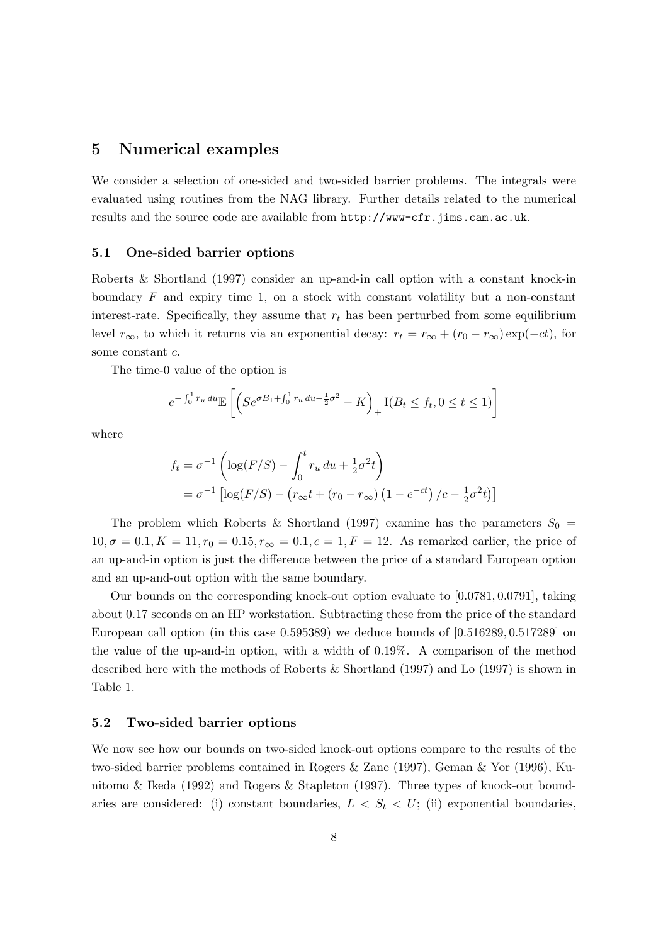#### 5 Numerical examples

We consider a selection of one-sided and two-sided barrier problems. The integrals were evaluated using routines from the NAG library. Further details related to the numerical results and the source code are available from http://www-cfr.jims.cam.ac.uk.

#### 5.1 One-sided barrier options

Roberts & Shortland (1997) consider an up-and-in call option with a constant knock-in boundary  $F$  and expiry time 1, on a stock with constant volatility but a non-constant interest-rate. Specifically, they assume that  $r_t$  has been perturbed from some equilibrium level  $r_{\infty}$ , to which it returns via an exponential decay:  $r_t = r_{\infty} + (r_0 - r_{\infty}) \exp(-ct)$ , for some constant c.

The time-0 value of the option is

$$
e^{-\int_0^1 r_u du} \mathbb{E}\left[ \left( Se^{\sigma B_1 + \int_0^1 r_u du - \frac{1}{2}\sigma^2} - K \right)_+ I(B_t \le f_t, 0 \le t \le 1) \right]
$$

where

$$
f_t = \sigma^{-1} \left( \log(F/S) - \int_0^t r_u \, du + \frac{1}{2} \sigma^2 t \right)
$$
  
=  $\sigma^{-1} \left[ \log(F/S) - \left( r_{\infty} t + (r_0 - r_{\infty}) \left( 1 - e^{-ct} \right) / c - \frac{1}{2} \sigma^2 t \right) \right]$ 

The problem which Roberts & Shortland (1997) examine has the parameters  $S_0$  =  $10, \sigma = 0.1, K = 11, r_0 = 0.15, r_\infty = 0.1, c = 1, F = 12$ . As remarked earlier, the price of an up-and-in option is just the difference between the price of a standard European option and an up-and-out option with the same boundary.

Our bounds on the corresponding knock-out option evaluate to [0.0781, 0.0791], taking about 0.17 seconds on an HP workstation. Subtracting these from the price of the standard European call option (in this case 0.595389) we deduce bounds of [0.516289, 0.517289] on the value of the up-and-in option, with a width of 0.19%. A comparison of the method described here with the methods of Roberts & Shortland (1997) and Lo (1997) is shown in Table 1.

#### 5.2 Two-sided barrier options

We now see how our bounds on two-sided knock-out options compare to the results of the two-sided barrier problems contained in Rogers & Zane (1997), Geman & Yor (1996), Kunitomo & Ikeda (1992) and Rogers & Stapleton (1997). Three types of knock-out boundaries are considered: (i) constant boundaries,  $L < S_t < U$ ; (ii) exponential boundaries,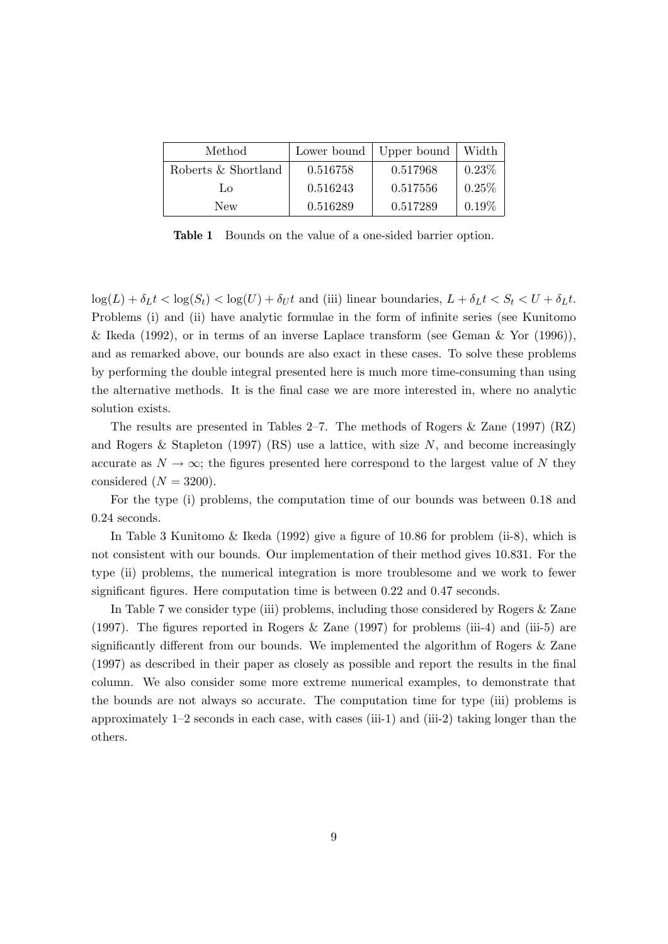| Method              |          | Lower bound   Upper bound | Width    |
|---------------------|----------|---------------------------|----------|
| Roberts & Shortland | 0.516758 | 0.517968                  | $0.23\%$ |
| Lo.                 | 0.516243 | 0.517556                  | 0.25%    |
| New                 | 0.516289 | 0.517289                  | 0.19%    |

Table 1 Bounds on the value of a one-sided barrier option.

 $\log(L) + \delta_L t < \log(S_t) < \log(U) + \delta_U t$  and (iii) linear boundaries,  $L + \delta_L t < S_t < U + \delta_L t$ . Problems (i) and (ii) have analytic formulae in the form of infinite series (see Kunitomo & Ikeda (1992), or in terms of an inverse Laplace transform (see Geman & Yor  $(1996)$ ), and as remarked above, our bounds are also exact in these cases. To solve these problems by performing the double integral presented here is much more time-consuming than using the alternative methods. It is the final case we are more interested in, where no analytic solution exists.

The results are presented in Tables 2–7. The methods of Rogers & Zane (1997) (RZ) and Rogers & Stapleton (1997) (RS) use a lattice, with size  $N$ , and become increasingly accurate as  $N \to \infty$ ; the figures presented here correspond to the largest value of N they considered  $(N = 3200)$ .

For the type (i) problems, the computation time of our bounds was between 0.18 and 0.24 seconds.

In Table 3 Kunitomo & Ikeda (1992) give a figure of 10.86 for problem (ii-8), which is not consistent with our bounds. Our implementation of their method gives 10.831. For the type (ii) problems, the numerical integration is more troublesome and we work to fewer significant figures. Here computation time is between 0.22 and 0.47 seconds.

In Table 7 we consider type (iii) problems, including those considered by Rogers & Zane (1997). The figures reported in Rogers & Zane (1997) for problems (iii-4) and (iii-5) are significantly different from our bounds. We implemented the algorithm of Rogers & Zane (1997) as described in their paper as closely as possible and report the results in the final column. We also consider some more extreme numerical examples, to demonstrate that the bounds are not always so accurate. The computation time for type (iii) problems is approximately 1–2 seconds in each case, with cases (iii-1) and (iii-2) taking longer than the others.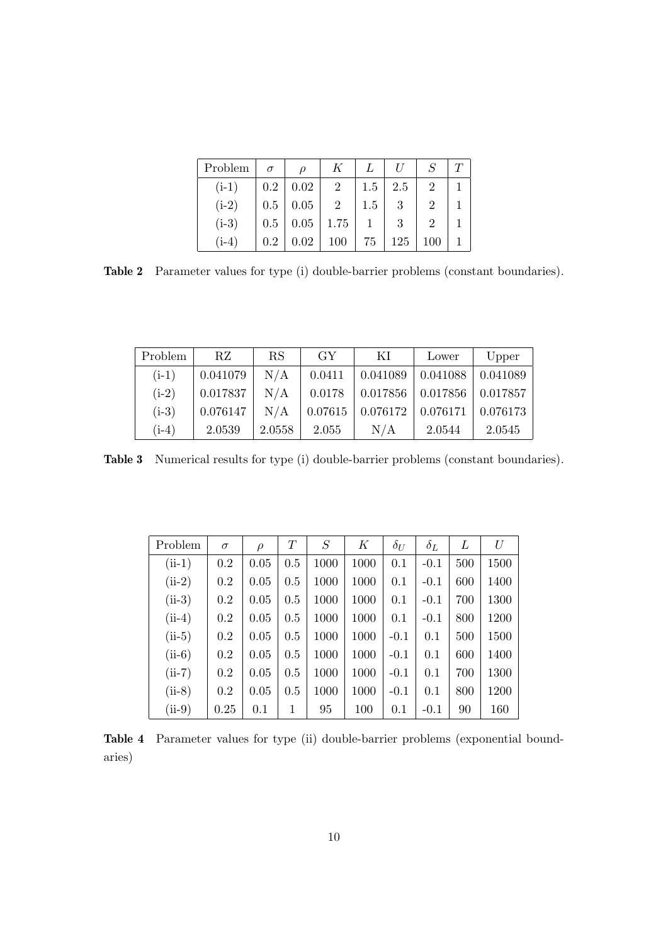| Problem |         |                                |                |                 |     |     | T |
|---------|---------|--------------------------------|----------------|-----------------|-----|-----|---|
| $(i-1)$ |         | $0.2 \,   \, 0.02$             | $\overline{2}$ | $1.5 \, \, 2.5$ |     | 2   |   |
| $(i-2)$ |         | $0.5 \,   \, 0.05 \,  $        | 2              | 1.5             | 3   |     |   |
| $(i-3)$ |         | $0.5 \mid 0.05 \mid 1.75 \mid$ |                |                 | 3   |     |   |
| $(i-4)$ | $0.2\,$ | $0.02 \,   \, 100$             |                | 75              | 125 | 100 |   |

Table 2 Parameter values for type (i) double-barrier problems (constant boundaries).

| Problem | RZ       | RS     | GY      | ΚI       | Lower               | Upper    |
|---------|----------|--------|---------|----------|---------------------|----------|
| $(i-1)$ | 0.041079 | N/A    | 0.0411  | 0.041089 | 0.041088            | 0.041089 |
| $(i-2)$ | 0.017837 | N/A    | 0.0178  |          | $0.017856$ 0.017856 | 0.017857 |
| $(i-3)$ | 0.076147 | N/A    | 0.07615 | 0.076172 | 0.076171            | 0.076173 |
| $(i-4)$ | 2.0539   | 2.0558 | 2.055   | N/A      | 2.0544              | 2.0545   |

Table 3 Numerical results for type (i) double-barrier problems (constant boundaries).

| Problem  | $\sigma$ | $\rho$ | $\scriptstyle T$ | S    | Κ    | $\delta_U$ | $\delta_L$ | L   | U    |
|----------|----------|--------|------------------|------|------|------------|------------|-----|------|
| $(ii-1)$ | 0.2      | 0.05   | 0.5              | 1000 | 1000 | 0.1        | $-0.1$     | 500 | 1500 |
| $(ii-2)$ | 0.2      | 0.05   | 0.5              | 1000 | 1000 | 0.1        | $-0.1$     | 600 | 1400 |
| $(ii-3)$ | 0.2      | 0.05   | 0.5              | 1000 | 1000 | 0.1        | $-0.1$     | 700 | 1300 |
| $(ii-4)$ | 0.2      | 0.05   | 0.5              | 1000 | 1000 | 0.1        | $-0.1$     | 800 | 1200 |
| $(ii-5)$ | 0.2      | 0.05   | 0.5              | 1000 | 1000 | $-0.1$     | 0.1        | 500 | 1500 |
| $(ii-6)$ | 0.2      | 0.05   | 0.5              | 1000 | 1000 | $-0.1$     | 0.1        | 600 | 1400 |
| $(ii-7)$ | 0.2      | 0.05   | 0.5              | 1000 | 1000 | $-0.1$     | 0.1        | 700 | 1300 |
| $(ii-8)$ | 0.2      | 0.05   | 0.5              | 1000 | 1000 | $-0.1$     | 0.1        | 800 | 1200 |
| $(ii-9)$ | 0.25     | 0.1    | 1                | 95   | 100  | 0.1        | $-0.1$     | 90  | 160  |

Table 4 Parameter values for type (ii) double-barrier problems (exponential boundaries)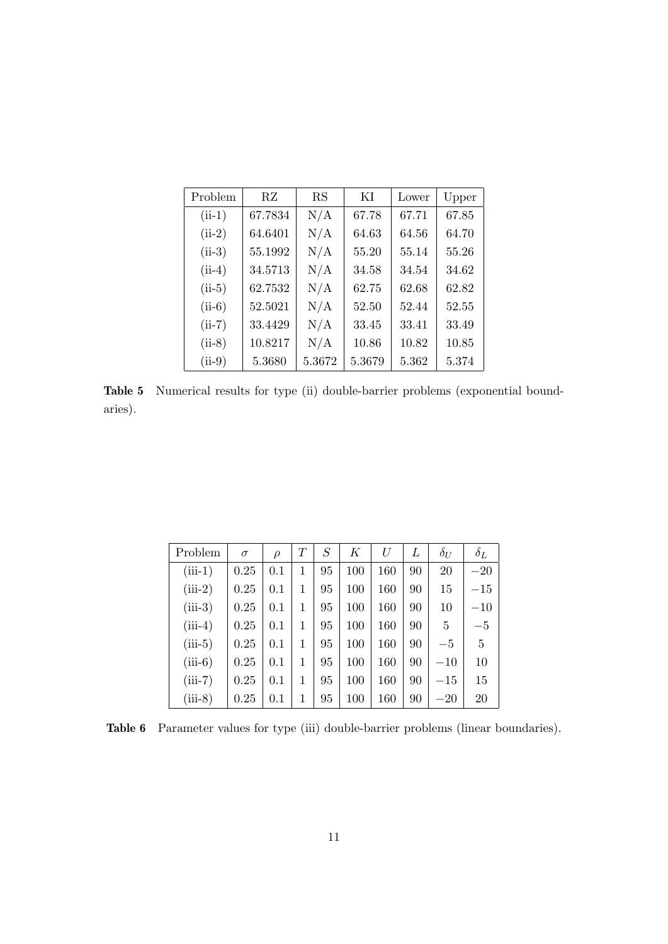| Problem  | RZ      | RS     | ΚI     | Lower | Upper |
|----------|---------|--------|--------|-------|-------|
| $(ii-1)$ | 67.7834 | N/A    | 67.78  | 67.71 | 67.85 |
| $(ii-2)$ | 64.6401 | N/A    | 64.63  | 64.56 | 64.70 |
| $(ii-3)$ | 55.1992 | N/A    | 55.20  | 55.14 | 55.26 |
| $(ii-4)$ | 34.5713 | N/A    | 34.58  | 34.54 | 34.62 |
| $(ii-5)$ | 62.7532 | N/A    | 62.75  | 62.68 | 62.82 |
| $(ii-6)$ | 52.5021 | N/A    | 52.50  | 52.44 | 52.55 |
| $(ii-7)$ | 33.4429 | N/A    | 33.45  | 33.41 | 33.49 |
| $(ii-8)$ | 10.8217 | N/A    | 10.86  | 10.82 | 10.85 |
| $(ii-9)$ | 5.3680  | 5.3672 | 5.3679 | 5.362 | 5.374 |

Table 5 Numerical results for type (ii) double-barrier problems (exponential boundaries).

| Problem   | $\sigma$ | $\rho$ | $\scriptstyle T$ | $\cal S$ | K   | U   | L  | $\delta_U$ | $\delta_L$ |
|-----------|----------|--------|------------------|----------|-----|-----|----|------------|------------|
| $(iii-1)$ | 0.25     | 0.1    | 1                | 95       | 100 | 160 | 90 | 20         | $-20$      |
| $(iii-2)$ | 0.25     | 0.1    | 1                | 95       | 100 | 160 | 90 | 15         | $-15$      |
| $(iii-3)$ | 0.25     | 0.1    | 1                | 95       | 100 | 160 | 90 | 10         | $-10$      |
| $(iii-4)$ | 0.25     | 0.1    | 1                | 95       | 100 | 160 | 90 | 5          | $-5$       |
| $(iii-5)$ | 0.25     | 0.1    | 1                | 95       | 100 | 160 | 90 | $-5$       | 5          |
| $(iii-6)$ | 0.25     | 0.1    | 1                | 95       | 100 | 160 | 90 | $-10$      | 10         |
| $(iii-7)$ | 0.25     | 0.1    | 1                | 95       | 100 | 160 | 90 | $-15$      | 15         |
| $(iii-8)$ | 0.25     | 0.1    | 1                | 95       | 100 | 160 | 90 | $-20$      | 20         |

Table 6 Parameter values for type (iii) double-barrier problems (linear boundaries).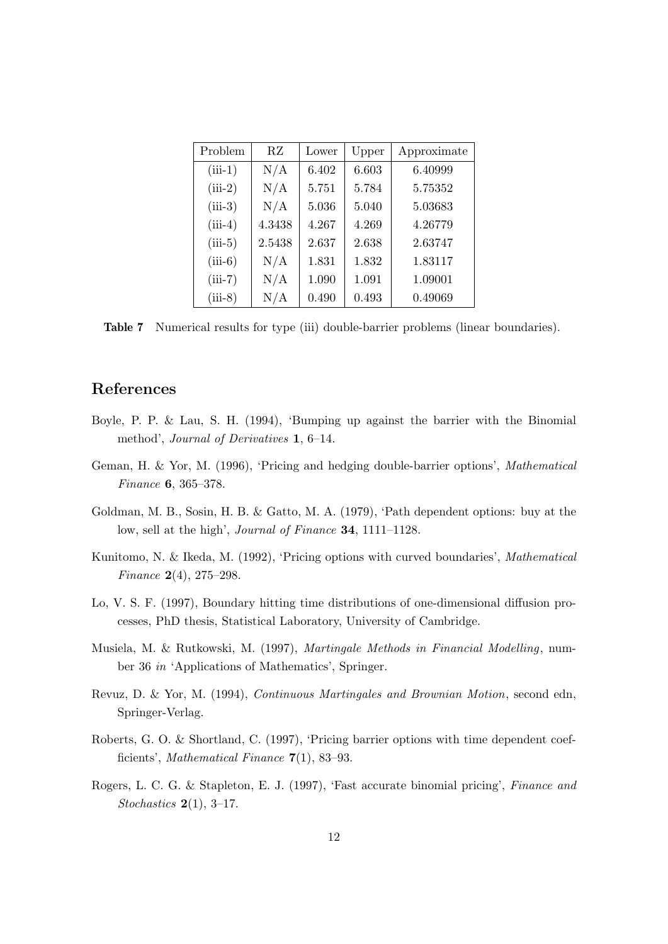| Problem   | RZ     | Lower | Upper | Approximate |
|-----------|--------|-------|-------|-------------|
| $(iii-1)$ | N/A    | 6.402 | 6.603 | 6.40999     |
| $(iii-2)$ | N/A    | 5.751 | 5.784 | 5.75352     |
| $(iii-3)$ | N/A    | 5.036 | 5.040 | 5.03683     |
| $(iii-4)$ | 4.3438 | 4.267 | 4.269 | 4.26779     |
| $(iii-5)$ | 2.5438 | 2.637 | 2.638 | 2.63747     |
| $(iii-6)$ | N/A    | 1.831 | 1.832 | 1.83117     |
| $(iii-7)$ | N/A    | 1.090 | 1.091 | 1.09001     |
| $(iii-8)$ | N/A    | 0.490 | 0.493 | 0.49069     |

Table 7 Numerical results for type (iii) double-barrier problems (linear boundaries).

# References

- Boyle, P. P. & Lau, S. H. (1994), 'Bumping up against the barrier with the Binomial method', Journal of Derivatives 1, 6–14.
- Geman, H. & Yor, M. (1996), 'Pricing and hedging double-barrier options', Mathematical Finance 6, 365–378.
- Goldman, M. B., Sosin, H. B. & Gatto, M. A. (1979), 'Path dependent options: buy at the low, sell at the high', Journal of Finance 34, 1111–1128.
- Kunitomo, N. & Ikeda, M. (1992), 'Pricing options with curved boundaries', Mathematical Finance 2(4), 275–298.
- Lo, V. S. F. (1997), Boundary hitting time distributions of one-dimensional diffusion processes, PhD thesis, Statistical Laboratory, University of Cambridge.
- Musiela, M. & Rutkowski, M. (1997), Martingale Methods in Financial Modelling, number 36 in 'Applications of Mathematics', Springer.
- Revuz, D. & Yor, M. (1994), Continuous Martingales and Brownian Motion, second edn, Springer-Verlag.
- Roberts, G. O. & Shortland, C. (1997), 'Pricing barrier options with time dependent coefficients', Mathematical Finance 7(1), 83–93.
- Rogers, L. C. G. & Stapleton, E. J. (1997), 'Fast accurate binomial pricing', Finance and Stochastics  $2(1)$ , 3-17.